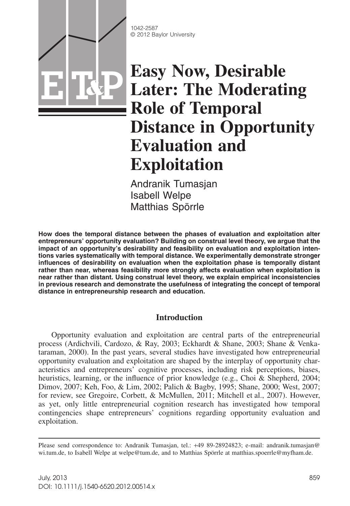

1042-2587 © 2012 Baylor University

# **Easy Now, Desirable Later: The Moderating Role of Temporal Distance in Opportunity Evaluation and Exploitation**

Andranik Tumasjan Isabell Welpe Matthias Spörrle

**How does the temporal distance between the phases of evaluation and exploitation alter entrepreneurs' opportunity evaluation? Building on construal level theory, we argue that the impact of an opportunity's desirability and feasibility on evaluation and exploitation intentions varies systematically with temporal distance. We experimentally demonstrate stronger influences of desirability on evaluation when the exploitation phase is temporally distant rather than near, whereas feasibility more strongly affects evaluation when exploitation is near rather than distant. Using construal level theory, we explain empirical inconsistencies in previous research and demonstrate the usefulness of integrating the concept of temporal distance in entrepreneurship research and education.**

## **Introduction**

Opportunity evaluation and exploitation are central parts of the entrepreneurial process (Ardichvili, Cardozo, & Ray, 2003; Eckhardt & Shane, 2003; Shane & Venkataraman, 2000). In the past years, several studies have investigated how entrepreneurial opportunity evaluation and exploitation are shaped by the interplay of opportunity characteristics and entrepreneurs' cognitive processes, including risk perceptions, biases, heuristics, learning, or the influence of prior knowledge (e.g., Choi & Shepherd, 2004; Dimov, 2007; Keh, Foo, & Lim, 2002; Palich & Bagby, 1995; Shane, 2000; West, 2007; for review, see Gregoire, Corbett, & McMullen, 2011; Mitchell et al., 2007). However, as yet, only little entrepreneurial cognition research has investigated how temporal contingencies shape entrepreneurs' cognitions regarding opportunity evaluation and exploitation.

Please send correspondence to: Andranik Tumasjan, tel.: +49 89-28924823; e-mail: andranik.tumasjan@ wi.tum.de, to Isabell Welpe at welpe@tum.de, and to Matthias Spörrle at matthias.spoerrle@myfham.de.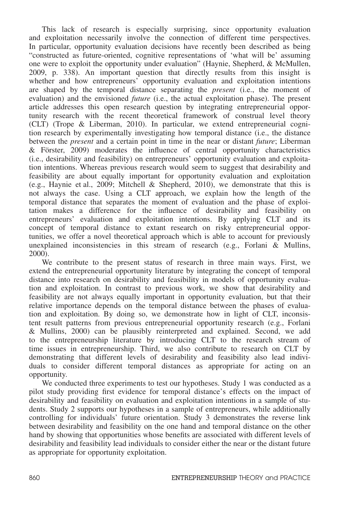This lack of research is especially surprising, since opportunity evaluation and exploitation necessarily involve the connection of different time perspectives. In particular, opportunity evaluation decisions have recently been described as being "constructed as future-oriented, cognitive representations of 'what will be' assuming one were to exploit the opportunity under evaluation" (Haynie, Shepherd, & McMullen, 2009, p. 338). An important question that directly results from this insight is whether and how entrepreneurs' opportunity evaluation and exploitation intentions are shaped by the temporal distance separating the *present* (i.e., the moment of evaluation) and the envisioned *future* (i.e., the actual exploitation phase). The present article addresses this open research question by integrating entrepreneurial opportunity research with the recent theoretical framework of construal level theory (CLT) (Trope & Liberman, 2010). In particular, we extend entrepreneurial cognition research by experimentally investigating how temporal distance (i.e., the distance between the *present* and a certain point in time in the near or distant *future*; Liberman & Förster, 2009) moderates the influence of central opportunity characteristics (i.e., desirability and feasibility) on entrepreneurs' opportunity evaluation and exploitation intentions. Whereas previous research would seem to suggest that desirability and feasibility are about equally important for opportunity evaluation and exploitation (e.g., Haynie et al., 2009; Mitchell & Shepherd, 2010), we demonstrate that this is not always the case. Using a CLT approach, we explain how the length of the temporal distance that separates the moment of evaluation and the phase of exploitation makes a difference for the influence of desirability and feasibility on entrepreneurs' evaluation and exploitation intentions. By applying CLT and its concept of temporal distance to extant research on risky entrepreneurial opportunities, we offer a novel theoretical approach which is able to account for previously unexplained inconsistencies in this stream of research (e.g., Forlani  $\&$  Mullins, 2000).

We contribute to the present status of research in three main ways. First, we extend the entrepreneurial opportunity literature by integrating the concept of temporal distance into research on desirability and feasibility in models of opportunity evaluation and exploitation. In contrast to previous work, we show that desirability and feasibility are not always equally important in opportunity evaluation, but that their relative importance depends on the temporal distance between the phases of evaluation and exploitation. By doing so, we demonstrate how in light of CLT, inconsistent result patterns from previous entrepreneurial opportunity research (e.g., Forlani & Mullins, 2000) can be plausibly reinterpreted and explained. Second, we add to the entrepreneurship literature by introducing CLT to the research stream of time issues in entrepreneurship. Third, we also contribute to research on CLT by demonstrating that different levels of desirability and feasibility also lead individuals to consider different temporal distances as appropriate for acting on an opportunity.

We conducted three experiments to test our hypotheses. Study 1 was conducted as a pilot study providing first evidence for temporal distance's effects on the impact of desirability and feasibility on evaluation and exploitation intentions in a sample of students. Study 2 supports our hypotheses in a sample of entrepreneurs, while additionally controlling for individuals' future orientation. Study 3 demonstrates the reverse link between desirability and feasibility on the one hand and temporal distance on the other hand by showing that opportunities whose benefits are associated with different levels of desirability and feasibility lead individuals to consider either the near or the distant future as appropriate for opportunity exploitation.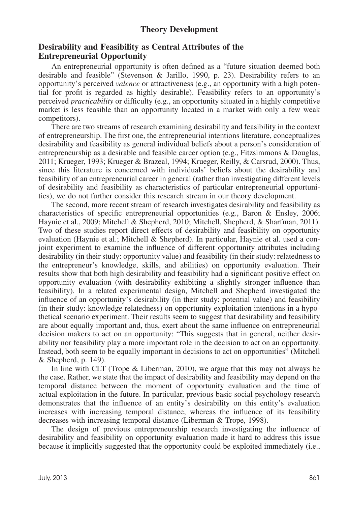## **Desirability and Feasibility as Central Attributes of the Entrepreneurial Opportunity**

An entrepreneurial opportunity is often defined as a "future situation deemed both desirable and feasible" (Stevenson & Jarillo, 1990, p. 23). Desirability refers to an opportunity's perceived *valence* or attractiveness (e.g., an opportunity with a high potential for profit is regarded as highly desirable). Feasibility refers to an opportunity's perceived *practicability* or difficulty (e.g., an opportunity situated in a highly competitive market is less feasible than an opportunity located in a market with only a few weak competitors).

There are two streams of research examining desirability and feasibility in the context of entrepreneurship. The first one, the entrepreneurial intentions literature, conceptualizes desirability and feasibility as general individual beliefs about a person's consideration of entrepreneurship as a desirable and feasible career option (e.g., Fitzsimmons & Douglas, 2011; Krueger, 1993; Krueger & Brazeal, 1994; Krueger, Reilly, & Carsrud, 2000). Thus, since this literature is concerned with individuals' beliefs about the desirability and feasibility of an entrepreneurial career in general (rather than investigating different levels of desirability and feasibility as characteristics of particular entrepreneurial opportunities), we do not further consider this research stream in our theory development.

The second, more recent stream of research investigates desirability and feasibility as characteristics of specific entrepreneurial opportunities (e.g., Baron & Ensley, 2006; Haynie et al., 2009; Mitchell & Shepherd, 2010; Mitchell, Shepherd, & Sharfman, 2011). Two of these studies report direct effects of desirability and feasibility on opportunity evaluation (Haynie et al.; Mitchell & Shepherd). In particular, Haynie et al. used a conjoint experiment to examine the influence of different opportunity attributes including desirability (in their study: opportunity value) and feasibility (in their study: relatedness to the entrepreneur's knowledge, skills, and abilities) on opportunity evaluation. Their results show that both high desirability and feasibility had a significant positive effect on opportunity evaluation (with desirability exhibiting a slightly stronger influence than feasibility). In a related experimental design, Mitchell and Shepherd investigated the influence of an opportunity's desirability (in their study: potential value) and feasibility (in their study: knowledge relatedness) on opportunity exploitation intentions in a hypothetical scenario experiment. Their results seem to suggest that desirability and feasibility are about equally important and, thus, exert about the same influence on entrepreneurial decision makers to act on an opportunity: "This suggests that in general, neither desirability nor feasibility play a more important role in the decision to act on an opportunity. Instead, both seem to be equally important in decisions to act on opportunities" (Mitchell & Shepherd, p. 149).

In line with CLT (Trope & Liberman, 2010), we argue that this may not always be the case. Rather, we state that the impact of desirability and feasibility may depend on the temporal distance between the moment of opportunity evaluation and the time of actual exploitation in the future. In particular, previous basic social psychology research demonstrates that the influence of an entity's desirability on this entity's evaluation increases with increasing temporal distance, whereas the influence of its feasibility decreases with increasing temporal distance (Liberman & Trope, 1998).

The design of previous entrepreneurship research investigating the influence of desirability and feasibility on opportunity evaluation made it hard to address this issue because it implicitly suggested that the opportunity could be exploited immediately (i.e.,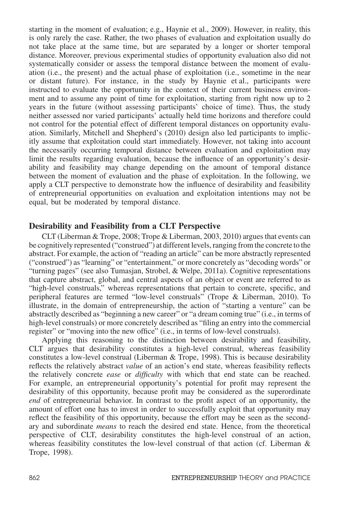starting in the moment of evaluation; e.g., Haynie et al., 2009). However, in reality, this is only rarely the case. Rather, the two phases of evaluation and exploitation usually do not take place at the same time, but are separated by a longer or shorter temporal distance. Moreover, previous experimental studies of opportunity evaluation also did not systematically consider or assess the temporal distance between the moment of evaluation (i.e., the present) and the actual phase of exploitation (i.e., sometime in the near or distant future). For instance, in the study by Haynie et al., participants were instructed to evaluate the opportunity in the context of their current business environment and to assume any point of time for exploitation, starting from right now up to 2 years in the future (without assessing participants' choice of time). Thus, the study neither assessed nor varied participants' actually held time horizons and therefore could not control for the potential effect of different temporal distances on opportunity evaluation. Similarly, Mitchell and Shepherd's (2010) design also led participants to implicitly assume that exploitation could start immediately. However, not taking into account the necessarily occurring temporal distance between evaluation and exploitation may limit the results regarding evaluation, because the influence of an opportunity's desirability and feasibility may change depending on the amount of temporal distance between the moment of evaluation and the phase of exploitation. In the following, we apply a CLT perspective to demonstrate how the influence of desirability and feasibility of entrepreneurial opportunities on evaluation and exploitation intentions may not be equal, but be moderated by temporal distance.

## **Desirability and Feasibility from a CLT Perspective**

CLT (Liberman & Trope, 2008; Trope & Liberman, 2003, 2010) argues that events can be cognitively represented ("construed") at different levels, ranging from the concrete to the abstract. For example, the action of "reading an article" can be more abstractly represented ("construed") as "learning" or "entertainment," or more concretely as "decoding words" or "turning pages" (see also Tumasjan, Strobel, & Welpe, 2011a). Cognitive representations that capture abstract, global, and central aspects of an object or event are referred to as "high-level construals," whereas representations that pertain to concrete, specific, and peripheral features are termed "low-level construals" (Trope & Liberman, 2010). To illustrate, in the domain of entrepreneurship, the action of "starting a venture" can be abstractly described as "beginning a new career" or "a dream coming true" (i.e., in terms of high-level construals) or more concretely described as "filing an entry into the commercial register" or "moving into the new office" (i.e., in terms of low-level construals).

Applying this reasoning to the distinction between desirability and feasibility, CLT argues that desirability constitutes a high-level construal, whereas feasibility constitutes a low-level construal (Liberman & Trope, 1998). This is because desirability reflects the relatively abstract *value* of an action's end state, whereas feasibility reflects the relatively concrete *ease* or *difficulty* with which that end state can be reached. For example, an entrepreneurial opportunity's potential for profit may represent the desirability of this opportunity, because profit may be considered as the superordinate *end* of entrepreneurial behavior. In contrast to the profit aspect of an opportunity, the amount of effort one has to invest in order to successfully exploit that opportunity may reflect the feasibility of this opportunity, because the effort may be seen as the secondary and subordinate *means* to reach the desired end state. Hence, from the theoretical perspective of CLT, desirability constitutes the high-level construal of an action, whereas feasibility constitutes the low-level construal of that action (cf. Liberman  $\&$ Trope, 1998).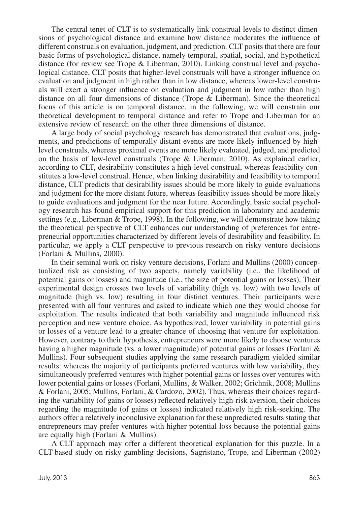The central tenet of CLT is to systematically link construal levels to distinct dimensions of psychological distance and examine how distance moderates the influence of different construals on evaluation, judgment, and prediction. CLT posits that there are four basic forms of psychological distance, namely temporal, spatial, social, and hypothetical distance (for review see Trope & Liberman, 2010). Linking construal level and psychological distance, CLT posits that higher-level construals will have a stronger influence on evaluation and judgment in high rather than in low distance, whereas lower-level construals will exert a stronger influence on evaluation and judgment in low rather than high distance on all four dimensions of distance (Trope & Liberman). Since the theoretical focus of this article is on temporal distance, in the following, we will constrain our theoretical development to temporal distance and refer to Trope and Liberman for an extensive review of research on the other three dimensions of distance.

A large body of social psychology research has demonstrated that evaluations, judgments, and predictions of temporally distant events are more likely influenced by highlevel construals, whereas proximal events are more likely evaluated, judged, and predicted on the basis of low-level construals (Trope & Liberman, 2010). As explained earlier, according to CLT, desirability constitutes a high-level construal, whereas feasibility constitutes a low-level construal. Hence, when linking desirability and feasibility to temporal distance, CLT predicts that desirability issues should be more likely to guide evaluations and judgment for the more distant future, whereas feasibility issues should be more likely to guide evaluations and judgment for the near future. Accordingly, basic social psychology research has found empirical support for this prediction in laboratory and academic settings (e.g., Liberman & Trope, 1998). In the following, we will demonstrate how taking the theoretical perspective of CLT enhances our understanding of preferences for entrepreneurial opportunities characterized by different levels of desirability and feasibility. In particular, we apply a CLT perspective to previous research on risky venture decisions (Forlani & Mullins, 2000).

In their seminal work on risky venture decisions, Forlani and Mullins (2000) conceptualized risk as consisting of two aspects, namely variability (i.e., the likelihood of potential gains or losses) and magnitude (i.e., the size of potential gains or losses). Their experimental design crosses two levels of variability (high vs. low) with two levels of magnitude (high vs. low) resulting in four distinct ventures. Their participants were presented with all four ventures and asked to indicate which one they would choose for exploitation. The results indicated that both variability and magnitude influenced risk perception and new venture choice. As hypothesized, lower variability in potential gains or losses of a venture lead to a greater chance of choosing that venture for exploitation. However, contrary to their hypothesis, entrepreneurs were more likely to choose ventures having a higher magnitude (vs. a lower magnitude) of potential gains or losses (Forlani & Mullins). Four subsequent studies applying the same research paradigm yielded similar results: whereas the majority of participants preferred ventures with low variability, they simultaneously preferred ventures with higher potential gains or losses over ventures with lower potential gains or losses (Forlani, Mullins, & Walker, 2002; Grichnik, 2008; Mullins & Forlani, 2005; Mullins, Forlani, & Cardozo, 2002). Thus, whereas their choices regarding the variability (of gains or losses) reflected relatively high-risk aversion, their choices regarding the magnitude (of gains or losses) indicated relatively high risk-seeking. The authors offer a relatively inconclusive explanation for these unpredicted results stating that entrepreneurs may prefer ventures with higher potential loss because the potential gains are equally high (Forlani & Mullins).

A CLT approach may offer a different theoretical explanation for this puzzle. In a CLT-based study on risky gambling decisions, Sagristano, Trope, and Liberman (2002)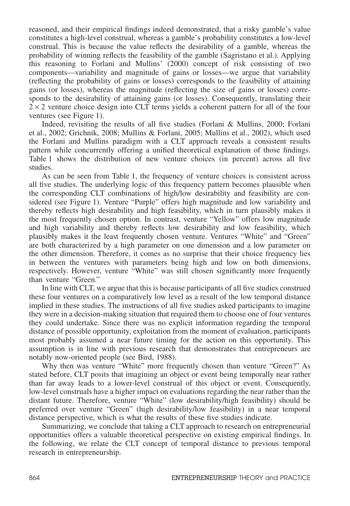reasoned, and their empirical findings indeed demonstrated, that a risky gamble's value constitutes a high-level construal, whereas a gamble's probability constitutes a low-level construal. This is because the value reflects the desirability of a gamble, whereas the probability of winning reflects the feasibility of the gamble (Sagristano et al.). Applying this reasoning to Forlani and Mullins' (2000) concept of risk consisting of two components—variability and magnitude of gains or losses—we argue that variability (reflecting the probability of gains or losses) corresponds to the feasibility of attaining gains (or losses), whereas the magnitude (reflecting the size of gains or losses) corresponds to the desirability of attaining gains (or losses). Consequently, translating their  $2 \times 2$  venture choice design into CLT terms yields a coherent pattern for all of the four ventures (see Figure 1).

Indeed, revisiting the results of all five studies (Forlani & Mullins, 2000; Forlani et al., 2002; Grichnik, 2008; Mullins & Forlani, 2005; Mullins et al., 2002), which used the Forlani and Mullins paradigm with a CLT approach reveals a consistent results pattern while concurrently offering a unified theoretical explanation of those findings. Table 1 shows the distribution of new venture choices (in percent) across all five studies.

As can be seen from Table 1, the frequency of venture choices is consistent across all five studies. The underlying logic of this frequency pattern becomes plausible when the corresponding CLT combinations of high/low desirability and feasibility are considered (see Figure 1). Venture "Purple" offers high magnitude and low variability and thereby reflects high desirability and high feasibility, which in turn plausibly makes it the most frequently chosen option. In contrast, venture "Yellow" offers low magnitude and high variability and thereby reflects low desirability and low feasibility, which plausibly makes it the least frequently chosen venture. Ventures "White" and "Green" are both characterized by a high parameter on one dimension and a low parameter on the other dimension. Therefore, it comes as no surprise that their choice frequency lies in between the ventures with parameters being high and low on both dimensions, respectively. However, venture "White" was still chosen significantly more frequently than venture "Green."

In line with CLT, we argue that this is because participants of all five studies construed these four ventures on a comparatively low level as a result of the low temporal distance implied in these studies. The instructions of all five studies asked participants to imagine they were in a decision-making situation that required them to choose one of four ventures they could undertake. Since there was no explicit information regarding the temporal distance of possible opportunity, exploitation from the moment of evaluation, participants most probably assumed a near future timing for the action on this opportunity. This assumption is in line with previous research that demonstrates that entrepreneurs are notably now-oriented people (see Bird, 1988).

Why then was venture "White" more frequently chosen than venture "Green?" As stated before, CLT posits that imagining an object or event being temporally near rather than far away leads to a lower-level construal of this object or event. Consequently, low-level construals have a higher impact on evaluations regarding the near rather than the distant future. Therefore, venture "White" (low desirability/high feasibility) should be preferred over venture "Green" (high desirability/low feasibility) in a near temporal distance perspective, which is what the results of these five studies indicate.

Summarizing, we conclude that taking a CLT approach to research on entrepreneurial opportunities offers a valuable theoretical perspective on existing empirical findings. In the following, we relate the CLT concept of temporal distance to previous temporal research in entrepreneurship.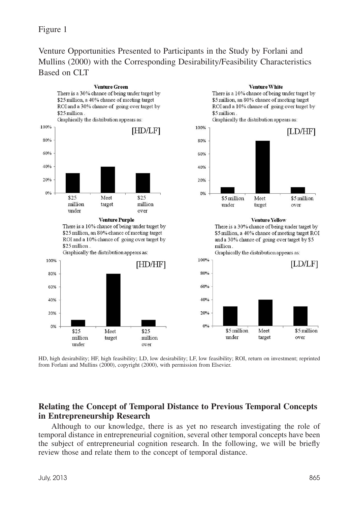## Figure 1

Venture Opportunities Presented to Participants in the Study by Forlani and Mullins (2000) with the Corresponding Desirability/Feasibility Characteristics Based on CLT



HD, high desirability; HF, high feasibility; LD, low desirability; LF, low feasibility; ROI, return on investment; reprinted from Forlani and Mullins (2000), copyright (2000), with permission from Elsevier.

## **Relating the Concept of Temporal Distance to Previous Temporal Concepts in Entrepreneurship Research**

Although to our knowledge, there is as yet no research investigating the role of temporal distance in entrepreneurial cognition, several other temporal concepts have been the subject of entrepreneurial cognition research. In the following, we will be briefly review those and relate them to the concept of temporal distance.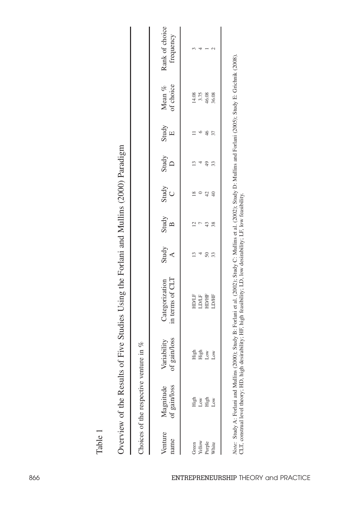|                 |                                            | olo                         |                                                                                                                                |                                     |                            |                |               |                                 |                        |                             |
|-----------------|--------------------------------------------|-----------------------------|--------------------------------------------------------------------------------------------------------------------------------|-------------------------------------|----------------------------|----------------|---------------|---------------------------------|------------------------|-----------------------------|
|                 | Choices of the respective venture in       |                             |                                                                                                                                |                                     |                            |                |               |                                 |                        |                             |
| Venture<br>name | of gain/loss<br>Magnitude                  | of gain/loss<br>Variability | in terms of CLT<br>Categorization                                                                                              | Study<br>$\mathop{\rm Ad}\nolimits$ | $\frac{S\textrm{tudy}}{B}$ | Study<br>C     | $\frac{1}{D}$ | $\frac{\text{Study}}{\text{E}}$ | of choice<br>Mean $\%$ | Rank of choice<br>frequency |
|                 |                                            |                             |                                                                                                                                |                                     |                            |                |               |                                 |                        |                             |
| Green           | High                                       | i<br>E                      | HD/LF                                                                                                                          |                                     |                            |                |               |                                 | 14.08                  |                             |
| Yellow          | Low                                        | High                        | $\mathsf{LDLE}$                                                                                                                |                                     |                            |                |               |                                 | 3.75                   |                             |
| Purple          | High                                       | Δw                          | <b>HD/HF</b>                                                                                                                   | $50\,$                              | ₩                          | 42             | ₽             | $\frac{46}{5}$                  | 46.08<br>36.08         |                             |
| White           | Low                                        | Low                         | LD/HF                                                                                                                          | 33                                  | 38                         | $\overline{4}$ | 33            | 37                              |                        |                             |
|                 |                                            |                             |                                                                                                                                |                                     |                            |                |               |                                 |                        |                             |
|                 | Note: Study A: Forlani and Mullins (2000); |                             | Study B: Forlani et al. (2002); Study C: Mullins et al. (2002); Study D: Mullins and Forlani (2005); Study E: Grichnik (2008). |                                     |                            |                |               |                                 |                        |                             |
|                 |                                            |                             | CLT, construal level theory; HD, high desirability; HF, high feasibility; LD, low desirability; LF, low feasibility.           |                                     |                            |                |               |                                 |                        |                             |

Overview of the Results of Five Studies Using the Forlani and Mullins (2000) Paradigm Overview of the Results of Five Studies Using the Forlani and Mullins (2000) Paradigm

Table 1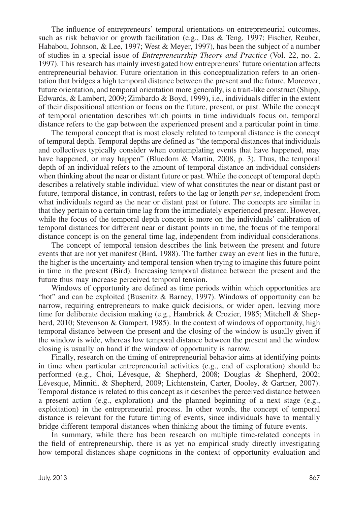The influence of entrepreneurs' temporal orientations on entrepreneurial outcomes, such as risk behavior or growth facilitation (e.g., Das & Teng, 1997; Fischer, Reuber, Hababou, Johnson, & Lee, 1997; West & Meyer, 1997), has been the subject of a number of studies in a special issue of *Entrepreneurship Theory and Practice* (Vol. 22, no. 2, 1997). This research has mainly investigated how entrepreneurs' future orientation affects entrepreneurial behavior. Future orientation in this conceptualization refers to an orientation that bridges a high temporal distance between the present and the future. Moreover, future orientation, and temporal orientation more generally, is a trait-like construct (Shipp, Edwards, & Lambert, 2009; Zimbardo & Boyd, 1999), i.e., individuals differ in the extent of their dispositional attention or focus on the future, present, or past. While the concept of temporal orientation describes which points in time individuals focus on, temporal distance refers to the gap between the experienced present and a particular point in time.

The temporal concept that is most closely related to temporal distance is the concept of temporal depth. Temporal depths are defined as "the temporal distances that individuals and collectives typically consider when contemplating events that have happened, may have happened, or may happen" (Bluedorn & Martin, 2008, p. 3). Thus, the temporal depth of an individual refers to the amount of temporal distance an individual considers when thinking about the near or distant future or past. While the concept of temporal depth describes a relatively stable individual view of what constitutes the near or distant past or future, temporal distance, in contrast, refers to the lag or length *per se*, independent from what individuals regard as the near or distant past or future. The concepts are similar in that they pertain to a certain time lag from the immediately experienced present. However, while the focus of the temporal depth concept is more on the individuals' calibration of temporal distances for different near or distant points in time, the focus of the temporal distance concept is on the general time lag, independent from individual considerations.

The concept of temporal tension describes the link between the present and future events that are not yet manifest (Bird, 1988). The farther away an event lies in the future, the higher is the uncertainty and temporal tension when trying to imagine this future point in time in the present (Bird). Increasing temporal distance between the present and the future thus may increase perceived temporal tension.

Windows of opportunity are defined as time periods within which opportunities are "hot" and can be exploited (Busenitz & Barney, 1997). Windows of opportunity can be narrow, requiring entrepreneurs to make quick decisions, or wider open, leaving more time for deliberate decision making (e.g., Hambrick & Crozier, 1985; Mitchell & Shepherd, 2010; Stevenson & Gumpert, 1985). In the context of windows of opportunity, high temporal distance between the present and the closing of the window is usually given if the window is wide, whereas low temporal distance between the present and the window closing is usually on hand if the window of opportunity is narrow.

Finally, research on the timing of entrepreneurial behavior aims at identifying points in time when particular entrepreneurial activities (e.g., end of exploration) should be performed (e.g., Choi, Lévesque, & Shepherd, 2008; Douglas & Shepherd, 2002; Lévesque, Minniti, & Shepherd, 2009; Lichtenstein, Carter, Dooley, & Gartner, 2007). Temporal distance is related to this concept as it describes the perceived distance between a present action (e.g., exploration) and the planned beginning of a next stage (e.g., exploitation) in the entrepreneurial process. In other words, the concept of temporal distance is relevant for the future timing of events, since individuals have to mentally bridge different temporal distances when thinking about the timing of future events.

In summary, while there has been research on multiple time-related concepts in the field of entrepreneurship, there is as yet no empirical study directly investigating how temporal distances shape cognitions in the context of opportunity evaluation and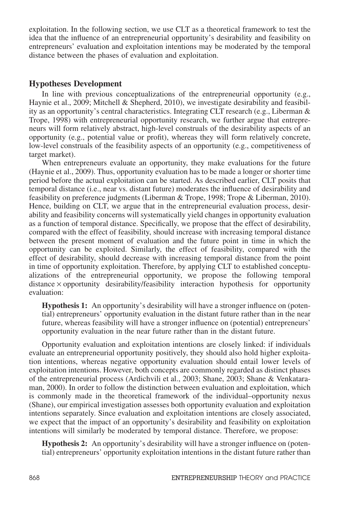exploitation. In the following section, we use CLT as a theoretical framework to test the idea that the influence of an entrepreneurial opportunity's desirability and feasibility on entrepreneurs' evaluation and exploitation intentions may be moderated by the temporal distance between the phases of evaluation and exploitation.

## **Hypotheses Development**

In line with previous conceptualizations of the entrepreneurial opportunity (e.g., Haynie et al., 2009; Mitchell & Shepherd, 2010), we investigate desirability and feasibility as an opportunity's central characteristics. Integrating CLT research (e.g., Liberman & Trope, 1998) with entrepreneurial opportunity research, we further argue that entrepreneurs will form relatively abstract, high-level construals of the desirability aspects of an opportunity (e.g., potential value or profit), whereas they will form relatively concrete, low-level construals of the feasibility aspects of an opportunity (e.g., competitiveness of target market).

When entrepreneurs evaluate an opportunity, they make evaluations for the future (Haynie et al., 2009). Thus, opportunity evaluation has to be made a longer or shorter time period before the actual exploitation can be started. As described earlier, CLT posits that temporal distance (i.e., near vs. distant future) moderates the influence of desirability and feasibility on preference judgments (Liberman & Trope, 1998; Trope & Liberman, 2010). Hence, building on CLT, we argue that in the entrepreneurial evaluation process, desirability and feasibility concerns will systematically yield changes in opportunity evaluation as a function of temporal distance. Specifically, we propose that the effect of desirability, compared with the effect of feasibility, should increase with increasing temporal distance between the present moment of evaluation and the future point in time in which the opportunity can be exploited. Similarly, the effect of feasibility, compared with the effect of desirability, should decrease with increasing temporal distance from the point in time of opportunity exploitation. Therefore, by applying CLT to established conceptualizations of the entrepreneurial opportunity, we propose the following temporal distance ¥ opportunity desirability/feasibility interaction hypothesis for opportunity evaluation:

**Hypothesis 1:** An opportunity's desirability will have a stronger influence on (potential) entrepreneurs' opportunity evaluation in the distant future rather than in the near future, whereas feasibility will have a stronger influence on (potential) entrepreneurs' opportunity evaluation in the near future rather than in the distant future.

Opportunity evaluation and exploitation intentions are closely linked: if individuals evaluate an entrepreneurial opportunity positively, they should also hold higher exploitation intentions, whereas negative opportunity evaluation should entail lower levels of exploitation intentions. However, both concepts are commonly regarded as distinct phases of the entrepreneurial process (Ardichvili et al., 2003; Shane, 2003; Shane & Venkataraman, 2000). In order to follow the distinction between evaluation and exploitation, which is commonly made in the theoretical framework of the individual–opportunity nexus (Shane), our empirical investigation assesses both opportunity evaluation and exploitation intentions separately. Since evaluation and exploitation intentions are closely associated, we expect that the impact of an opportunity's desirability and feasibility on exploitation intentions will similarly be moderated by temporal distance. Therefore, we propose:

**Hypothesis 2:** An opportunity's desirability will have a stronger influence on (potential) entrepreneurs' opportunity exploitation intentions in the distant future rather than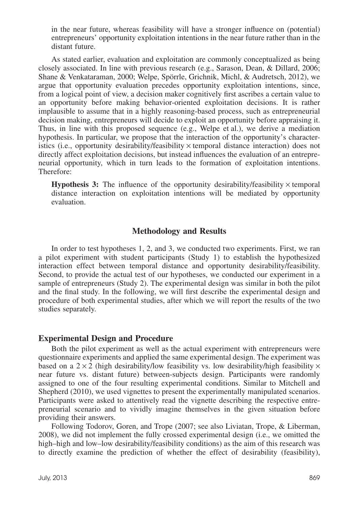in the near future, whereas feasibility will have a stronger influence on (potential) entrepreneurs' opportunity exploitation intentions in the near future rather than in the distant future.

As stated earlier, evaluation and exploitation are commonly conceptualized as being closely associated. In line with previous research (e.g., Sarason, Dean, & Dillard, 2006; Shane & Venkataraman, 2000; Welpe, Spörrle, Grichnik, Michl, & Audretsch, 2012), we argue that opportunity evaluation precedes opportunity exploitation intentions, since, from a logical point of view, a decision maker cognitively first ascribes a certain value to an opportunity before making behavior-oriented exploitation decisions. It is rather implausible to assume that in a highly reasoning-based process, such as entrepreneurial decision making, entrepreneurs will decide to exploit an opportunity before appraising it. Thus, in line with this proposed sequence (e.g., Welpe et al.), we derive a mediation hypothesis. In particular, we propose that the interaction of the opportunity's characteristics (i.e., opportunity desirability/feasibility  $\times$  temporal distance interaction) does not directly affect exploitation decisions, but instead influences the evaluation of an entrepreneurial opportunity, which in turn leads to the formation of exploitation intentions. Therefore:

**Hypothesis 3:** The influence of the opportunity desirability/feasibility  $\times$  temporal distance interaction on exploitation intentions will be mediated by opportunity evaluation.

### **Methodology and Results**

In order to test hypotheses 1, 2, and 3, we conducted two experiments. First, we ran a pilot experiment with student participants (Study 1) to establish the hypothesized interaction effect between temporal distance and opportunity desirability/feasibility. Second, to provide the actual test of our hypotheses, we conducted our experiment in a sample of entrepreneurs (Study 2). The experimental design was similar in both the pilot and the final study. In the following, we will first describe the experimental design and procedure of both experimental studies, after which we will report the results of the two studies separately.

#### **Experimental Design and Procedure**

Both the pilot experiment as well as the actual experiment with entrepreneurs were questionnaire experiments and applied the same experimental design. The experiment was based on a  $2 \times 2$  (high desirability/low feasibility vs. low desirability/high feasibility  $\times$ near future vs. distant future) between-subjects design. Participants were randomly assigned to one of the four resulting experimental conditions. Similar to Mitchell and Shepherd (2010), we used vignettes to present the experimentally manipulated scenarios. Participants were asked to attentively read the vignette describing the respective entrepreneurial scenario and to vividly imagine themselves in the given situation before providing their answers.

Following Todorov, Goren, and Trope (2007; see also Liviatan, Trope, & Liberman, 2008), we did not implement the fully crossed experimental design (i.e., we omitted the high–high and low–low desirability/feasibility conditions) as the aim of this research was to directly examine the prediction of whether the effect of desirability (feasibility),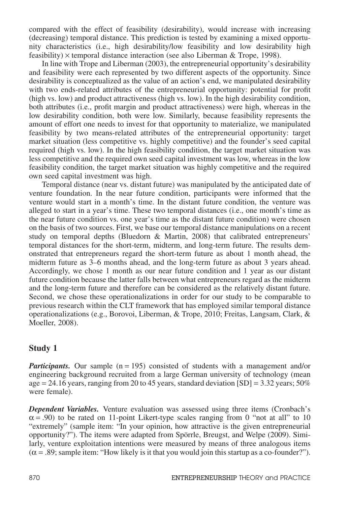compared with the effect of feasibility (desirability), would increase with increasing (decreasing) temporal distance. This prediction is tested by examining a mixed opportunity characteristics (i.e., high desirability/low feasibility and low desirability high feasibility)  $\times$  temporal distance interaction (see also Liberman & Trope, 1998).

In line with Trope and Liberman (2003), the entrepreneurial opportunity's desirability and feasibility were each represented by two different aspects of the opportunity. Since desirability is conceptualized as the value of an action's end, we manipulated desirability with two ends-related attributes of the entrepreneurial opportunity: potential for profit (high vs. low) and product attractiveness (high vs. low). In the high desirability condition, both attributes (i.e., profit margin and product attractiveness) were high, whereas in the low desirability condition, both were low. Similarly, because feasibility represents the amount of effort one needs to invest for that opportunity to materialize, we manipulated feasibility by two means-related attributes of the entrepreneurial opportunity: target market situation (less competitive vs. highly competitive) and the founder's seed capital required (high vs. low). In the high feasibility condition, the target market situation was less competitive and the required own seed capital investment was low, whereas in the low feasibility condition, the target market situation was highly competitive and the required own seed capital investment was high.

Temporal distance (near vs. distant future) was manipulated by the anticipated date of venture foundation. In the near future condition, participants were informed that the venture would start in a month's time. In the distant future condition, the venture was alleged to start in a year's time. These two temporal distances (i.e., one month's time as the near future condition vs. one year's time as the distant future condition) were chosen on the basis of two sources. First, we base our temporal distance manipulations on a recent study on temporal depths (Bluedorn & Martin, 2008) that calibrated entrepreneurs' temporal distances for the short-term, midterm, and long-term future. The results demonstrated that entrepreneurs regard the short-term future as about 1 month ahead, the midterm future as 3–6 months ahead, and the long-term future as about 3 years ahead. Accordingly, we chose 1 month as our near future condition and 1 year as our distant future condition because the latter falls between what entrepreneurs regard as the midterm and the long-term future and therefore can be considered as the relatively distant future. Second, we chose these operationalizations in order for our study to be comparable to previous research within the CLT framework that has employed similar temporal distance operationalizations (e.g., Borovoi, Liberman, & Trope, 2010; Freitas, Langsam, Clark, & Moeller, 2008).

## **Study 1**

*Participants.* Our sample  $(n = 195)$  consisted of students with a management and/or engineering background recruited from a large German university of technology (mean age  $= 24.16$  years, ranging from 20 to 45 years, standard deviation  $[SD] = 3.32$  years; 50% were female).

*Dependent Variables.* Venture evaluation was assessed using three items (Cronbach's  $\alpha$  = .90) to be rated on 11-point Likert-type scales ranging from 0 "not at all" to 10 "extremely" (sample item: "In your opinion, how attractive is the given entrepreneurial opportunity?"). The items were adapted from Spörrle, Breugst, and Welpe (2009). Similarly, venture exploitation intentions were measured by means of three analogous items  $(\alpha = .89;$  sample item: "How likely is it that you would join this startup as a co-founder?").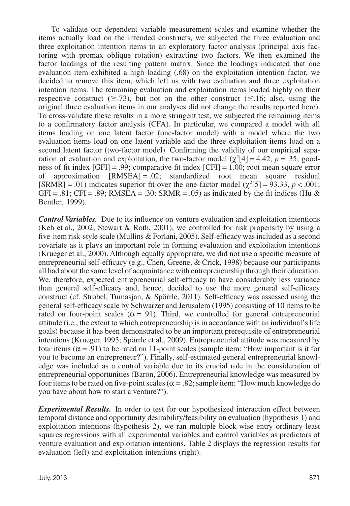To validate our dependent variable measurement scales and examine whether the items actually load on the intended constructs, we subjected the three evaluation and three exploitation intention items to an exploratory factor analysis (principal axis factoring with promax oblique rotation) extracting two factors. We then examined the factor loadings of the resulting pattern matrix. Since the loadings indicated that one evaluation item exhibited a high loading (.68) on the exploitation intention factor, we decided to remove this item, which left us with two evaluation and three exploitation intention items. The remaining evaluation and exploitation items loaded highly on their respective construct ( $\geq$ .73), but not on the other construct ( $\leq$ .16; also, using the original three evaluation items in our analyses did not change the results reported here). To cross-validate these results in a more stringent test, we subjected the remaining items to a confirmatory factor analysis (CFA). In particular, we compared a model with all items loading on one latent factor (one-factor model) with a model where the two evaluation items load on one latent variable and the three exploitation items load on a second latent factor (two-factor model). Confirming the validity of our empirical separation of evaluation and exploitation, the two-factor model  $(\chi^2[4] = 4.42, p = .35;$  goodness of fit index  $[GFI] = .99$ ; comparative fit index  $[CFI] = 1.00$ ; root mean square error of approximation [RMSEA] = .02; standardized root mean square residual [SRMR] = .01) indicates superior fit over the one-factor model ( $\chi^2$ [5] = 93.33, *p* < .001; GFI = .81; CFI = .89; RMSEA = .30; SRMR = .05) as indicated by the fit indices (Hu  $\&$ Bentler, 1999).

*Control Variables.* Due to its influence on venture evaluation and exploitation intentions (Keh et al., 2002; Stewart & Roth, 2001), we controlled for risk propensity by using a five-item risk-style scale (Mullins & Forlani, 2005). Self-efficacy was included as a second covariate as it plays an important role in forming evaluation and exploitation intentions (Krueger et al., 2000). Although equally appropriate, we did not use a specific measure of entrepreneurial self-efficacy (e.g., Chen, Greene, & Crick, 1998) because our participants all had about the same level of acquaintance with entrepreneurship through their education. We, therefore, expected entrepreneurial self-efficacy to have considerably less variance than general self-efficacy and, hence, decided to use the more general self-efficacy construct (cf. Strobel, Tumasjan, & Spörrle, 2011). Self-efficacy was assessed using the general self-efficacy scale by Schwarzer and Jerusalem (1995) consisting of 10 items to be rated on four-point scales ( $\alpha$  = .91). Third, we controlled for general entrepreneurial attitude (i.e., the extent to which entrepreneurship is in accordance with an individual's life goals) because it has been demonstrated to be an important prerequisite of entrepreneurial intentions (Krueger, 1993; Spörrle et al., 2009). Entrepreneurial attitude was measured by four items ( $\alpha$  = .91) to be rated on 11-point scales (sample item: "How important is it for you to become an entrepreneur?"). Finally, self-estimated general entrepreneurial knowledge was included as a control variable due to its crucial role in the consideration of entrepreneurial opportunities (Baron, 2006). Entrepreneurial knowledge was measured by four items to be rated on five-point scales ( $\alpha = .82$ ; sample item: "How much knowledge do you have about how to start a venture?").

*Experimental Results.* In order to test for our hypothesized interaction effect between temporal distance and opportunity desirability/feasibility on evaluation (hypothesis 1) and exploitation intentions (hypothesis 2), we ran multiple block-wise entry ordinary least squares regressions with all experimental variables and control variables as predictors of venture evaluation and exploitation intentions. Table 2 displays the regression results for evaluation (left) and exploitation intentions (right).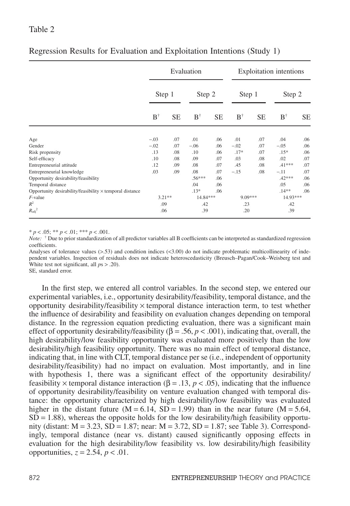|                                                                 |               |           | Evaluation    |           |               |           | Exploitation intentions |           |
|-----------------------------------------------------------------|---------------|-----------|---------------|-----------|---------------|-----------|-------------------------|-----------|
|                                                                 | Step 1        |           | Step 2        |           | Step 1        |           | Step 2                  |           |
|                                                                 | $B^{\dagger}$ | <b>SE</b> | $B^{\dagger}$ | <b>SE</b> | $B^{\dagger}$ | <b>SE</b> | $B^{\dagger}$           | <b>SE</b> |
| Age                                                             | $-.03$        | .07       | .01           | .06       | .01           | .07       | .04                     | .06       |
| Gender                                                          | $-.02$        | .07       | $-.06$        | .06       | $-.02$        | .07       | $-.05$                  | .06       |
| Risk propensity                                                 | .13           | .08       | .10           | .06       | $.17*$        | .07       | $.15*$                  | .06       |
| Self-efficacy                                                   | .10           | .08       | .09           | .07       | .03           | .08       | .02                     | .07       |
| Entrepreneurial attitude                                        | .12           | .09       | .08           | .07       | .45           | .08       | $.41***$                | .07       |
| Entrepreneurial knowledge                                       | .03           | .09       | .08           | .07       | $-.15$        | .08       | $-.11$                  | .07       |
| Opportunity desirability/feasibility                            |               |           | $.56***$      | .06       |               |           | $.42***$                | .06       |
| Temporal distance                                               |               |           | .04           | .06       |               |           | .05                     | .06       |
| Opportunity desirability/feasibility $\times$ temporal distance |               |           | $.13*$        | .06       |               |           | $.14**$                 | .06       |
| $F$ -value                                                      | $3.21**$      |           | 14.84***      |           | 9.09***       |           | 14.93***                |           |
| $R^2$                                                           | .09           |           | .42           |           | .23           |           | .42                     |           |
| $R_{\rm adj}^2$                                                 | .06           |           | .39           |           | .20           |           | .39                     |           |

# Regression Results for Evaluation and Exploitation Intentions (Study 1)

 $* p < .05; ** p < .01; ** p < .001.$ 

*Note:* † Due to prior standardization of all predictor variables all B coefficients can be interpreted as standardized regression coefficients.

Analyses of tolerance values (>.53) and condition indices (<3.00) do not indicate problematic multicollinearity of independent variables. Inspection of residuals does not indicate heteroscedasticity (Breusch–Pagan/Cook–Weisberg test and White test not significant, all *p*s > .20).

SE, standard error.

In the first step, we entered all control variables. In the second step, we entered our experimental variables, i.e., opportunity desirability/feasibility, temporal distance, and the opportunity desirability/feasibility  $\times$  temporal distance interaction term, to test whether the influence of desirability and feasibility on evaluation changes depending on temporal distance. In the regression equation predicting evaluation, there was a significant main effect of opportunity desirability/feasibility ( $\beta = .56$ ,  $p < .001$ ), indicating that, overall, the high desirability/low feasibility opportunity was evaluated more positively than the low desirability/high feasibility opportunity. There was no main effect of temporal distance, indicating that, in line with CLT, temporal distance per se (i.e., independent of opportunity desirability/feasibility) had no impact on evaluation. Most importantly, and in line with hypothesis 1, there was a significant effect of the opportunity desirability/ feasibility  $\times$  temporal distance interaction ( $\beta = .13$ ,  $p < .05$ ), indicating that the influence of opportunity desirability/feasibility on venture evaluation changed with temporal distance: the opportunity characterized by high desirability/low feasibility was evaluated higher in the distant future  $(M = 6.14, SD = 1.99)$  than in the near future  $(M = 5.64,$  $SD = 1.88$ ), whereas the opposite holds for the low desirability/high feasibility opportunity (distant:  $M = 3.23$ ,  $SD = 1.87$ ; near:  $M = 3.72$ ,  $SD = 1.87$ ; see Table 3). Correspondingly, temporal distance (near vs. distant) caused significantly opposing effects in evaluation for the high desirability/low feasibility vs. low desirability/high feasibility opportunities,  $z = 2.54$ ,  $p < .01$ .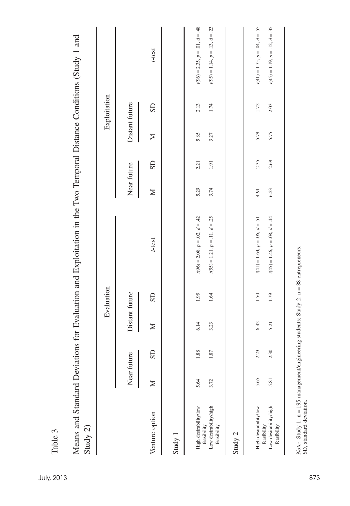| r      |  |
|--------|--|
| ¢      |  |
| ٣      |  |
| ٢      |  |
| $\sim$ |  |

Means and Standard Deviations for Evaluation and Exploitation in the Two Temporal Distance Conditions (Study 1 and Means and Standard Deviations for Evaluation and Exploitation in the Two Temporal Distance Conditions (Study 1 and Study 2)

|                                                     |      |             |        | Evaluation     |                                  |             |              |                | Exploitation |                                        |
|-----------------------------------------------------|------|-------------|--------|----------------|----------------------------------|-------------|--------------|----------------|--------------|----------------------------------------|
|                                                     |      | Near future |        | Distant future |                                  | Near future |              | Distant future |              |                                        |
| Venture option                                      | ⋝    | <b>GS</b>   | $\geq$ | <b>GS</b>      | $t$ -test                        | $\geq$      | $_{\rm{SD}}$ | $\geq$         | $_{\rm{SD}}$ | t-test                                 |
| Study 1                                             |      |             |        |                |                                  |             |              |                |              |                                        |
| High desirability/low                               | 5.64 | 1.88        | 6.14   | 1.99           | $t(96) = 2.08, p = .02, d = .42$ | 5.29        | 2.21         | 5.85           | 2.13         | $t(96) = 2.35$ , $p = .01$ , $d = .48$ |
| Low desirability/high<br>feasibility<br>feasibility | 3.72 | 1.87        | 3.23   | 1.64           | $t(95) = 1.21, p = .11, d = .25$ | 3.74        | 1.91         | 3.27           | 1.74         | $t(95) = 1.14, p = .13, d = .23$       |
| Study 2                                             |      |             |        |                |                                  |             |              |                |              |                                        |
| High desirability/low<br>feasibility                | 5.65 | 2.23        | 6.42   | 1.50           | $t(41) = 1.63, p = .06, d = .51$ | 4.91        | 2.35         | 5.79           | 1.72         | $t(41) = 1.75$ , $p = .04$ , $d = .55$ |
| Low desirability/high<br>feasibility                | 5.81 | 2.30        | 5.21   | 1.79           | $t(45) = 1.46, p = .08, d = .44$ | 6.23        | 2.69         | 5.75           | 2.03         | $t(45) = 1.19, p = .12, d = .35$       |
|                                                     |      |             |        |                |                                  |             |              |                |              |                                        |

*Note:* Study 1:  $n = 195$  management/engineering students; Study 2:  $n = 88$  entrepreneurs. SD, standard deviation. *Note:* Study 1: n = 195 management/engineering students; Study 2: n = 88 entrepreneurs. SD, standard deviation.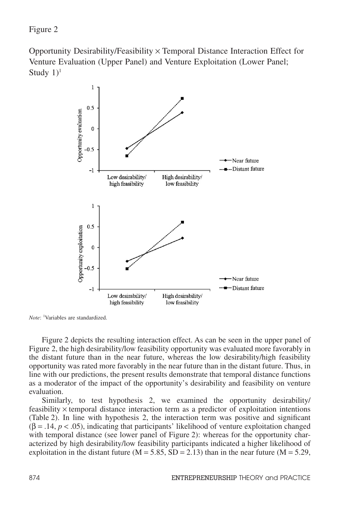Figure 2

Opportunity Desirability/Feasibility  $\times$  Temporal Distance Interaction Effect for Venture Evaluation (Upper Panel) and Venture Exploitation (Lower Panel; Study  $1$ <sup>1</sup>



*Note*: <sup>1</sup> Variables are standardized.

Figure 2 depicts the resulting interaction effect. As can be seen in the upper panel of Figure 2, the high desirability/low feasibility opportunity was evaluated more favorably in the distant future than in the near future, whereas the low desirability/high feasibility opportunity was rated more favorably in the near future than in the distant future. Thus, in line with our predictions, the present results demonstrate that temporal distance functions as a moderator of the impact of the opportunity's desirability and feasibility on venture evaluation.

Similarly, to test hypothesis 2, we examined the opportunity desirability/ feasibility  $\times$  temporal distance interaction term as a predictor of exploitation intentions (Table 2). In line with hypothesis 2, the interaction term was positive and significant  $(\beta = .14, p < .05)$ , indicating that participants' likelihood of venture exploitation changed with temporal distance (see lower panel of Figure 2): whereas for the opportunity characterized by high desirability/low feasibility participants indicated a higher likelihood of exploitation in the distant future ( $M = 5.85$ ,  $SD = 2.13$ ) than in the near future ( $M = 5.29$ ,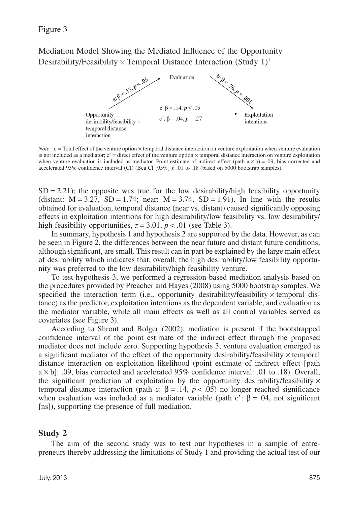Mediation Model Showing the Mediated Influence of the Opportunity Desirability/Feasibility  $\times$  Temporal Distance Interaction (Study 1)<sup>1</sup>



*Note*:  ${}^{1}c$  = Total effect of the venture option  $\times$  temporal distance interaction on venture exploitation when venture evaluation is not included as a mediator;  $c'$  = direct effect of the venture option  $\times$  temporal distance interaction on venture exploitation when venture evaluation is included as mediator. Point estimate of indirect effect (path  $a \times b$ ) = .09; bias corrected and accelerated 95% confidence interval (CI) (Bca CI [95%] ): .01 to .18 (based on 5000 bootstrap samples).

 $SD = 2.21$ ; the opposite was true for the low desirability/high feasibility opportunity (distant:  $M = 3.27$ ,  $SD = 1.74$ ; near:  $M = 3.74$ ,  $SD = 1.91$ ). In line with the results obtained for evaluation, temporal distance (near vs. distant) caused significantly opposing effects in exploitation intentions for high desirability/low feasibility vs. low desirability/ high feasibility opportunities,  $z = 3.01$ ,  $p < .01$  (see Table 3).

In summary, hypothesis 1 and hypothesis 2 are supported by the data. However, as can be seen in Figure 2, the differences between the near future and distant future conditions, although significant, are small. This result can in part be explained by the large main effect of desirability which indicates that, overall, the high desirability/low feasibility opportunity was preferred to the low desirability/high feasibility venture.

To test hypothesis 3, we performed a regression-based mediation analysis based on the procedures provided by Preacher and Hayes (2008) using 5000 bootstrap samples. We specified the interaction term (i.e., opportunity desirability/feasibility  $\times$  temporal distance) as the predictor, exploitation intentions as the dependent variable, and evaluation as the mediator variable, while all main effects as well as all control variables served as covariates (see Figure 3).

According to Shrout and Bolger (2002), mediation is present if the bootstrapped confidence interval of the point estimate of the indirect effect through the proposed mediator does not include zero. Supporting hypothesis 3, venture evaluation emerged as a significant mediator of the effect of the opportunity desirability/feasibility  $\times$  temporal distance interaction on exploitation likelihood (point estimate of indirect effect [path  $a \times b$ : .09, bias corrected and accelerated 95% confidence interval: .01 to .18). Overall, the significant prediction of exploitation by the opportunity desirability/feasibility  $\times$ temporal distance interaction (path c:  $\beta = .14$ ,  $p < .05$ ) no longer reached significance when evaluation was included as a mediator variable (path c':  $\beta = .04$ , not significant [ns]), supporting the presence of full mediation.

#### **Study 2**

The aim of the second study was to test our hypotheses in a sample of entrepreneurs thereby addressing the limitations of Study 1 and providing the actual test of our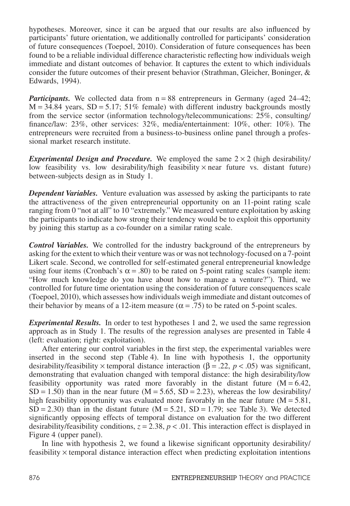hypotheses. Moreover, since it can be argued that our results are also influenced by participants' future orientation, we additionally controlled for participants' consideration of future consequences (Toepoel, 2010). Consideration of future consequences has been found to be a reliable individual difference characteristic reflecting how individuals weigh immediate and distant outcomes of behavior. It captures the extent to which individuals consider the future outcomes of their present behavior (Strathman, Gleicher, Boninger, & Edwards, 1994).

*Participants.* We collected data from  $n = 88$  entrepreneurs in Germany (aged 24–42;  $M = 34.84$  years,  $SD = 5.17$ ; 51% female) with different industry backgrounds mostly from the service sector (information technology/telecommunications: 25%, consulting/ finance/law: 23%, other services: 32%, media/entertainment: 10%, other: 10%). The entrepreneurs were recruited from a business-to-business online panel through a professional market research institute.

*Experimental Design and Procedure.* We employed the same  $2 \times 2$  (high desirability) low feasibility vs. low desirability/high feasibility  $\times$  near future vs. distant future) between-subjects design as in Study 1.

*Dependent Variables.* Venture evaluation was assessed by asking the participants to rate the attractiveness of the given entrepreneurial opportunity on an 11-point rating scale ranging from 0 "not at all" to 10 "extremely." We measured venture exploitation by asking the participants to indicate how strong their tendency would be to exploit this opportunity by joining this startup as a co-founder on a similar rating scale.

*Control Variables.* We controlled for the industry background of the entrepreneurs by asking for the extent to which their venture was or was not technology-focused on a 7-point Likert scale. Second, we controlled for self-estimated general entrepreneurial knowledge using four items (Cronbach's  $\alpha$  = .80) to be rated on 5-point rating scales (sample item: "How much knowledge do you have about how to manage a venture?"). Third, we controlled for future time orientation using the consideration of future consequences scale (Toepoel, 2010), which assesses how individuals weigh immediate and distant outcomes of their behavior by means of a 12-item measure ( $\alpha$  = .75) to be rated on 5-point scales.

*Experimental Results.* In order to test hypotheses 1 and 2, we used the same regression approach as in Study 1. The results of the regression analyses are presented in Table 4 (left: evaluation; right: exploitation).

After entering our control variables in the first step, the experimental variables were inserted in the second step (Table 4). In line with hypothesis 1, the opportunity desirability/feasibility  $\times$  temporal distance interaction ( $\beta = .22$ ,  $p < .05$ ) was significant, demonstrating that evaluation changed with temporal distance: the high desirability/low feasibility opportunity was rated more favorably in the distant future  $(M = 6.42)$ ,  $SD = 1.50$ ) than in the near future (M = 5.65, SD = 2.23), whereas the low desirability/ high feasibility opportunity was evaluated more favorably in the near future  $(M = 5.81$ ,  $SD = 2.30$ ) than in the distant future  $(M = 5.21, SD = 1.79$ ; see Table 3). We detected significantly opposing effects of temporal distance on evaluation for the two different desirability/feasibility conditions,  $z = 2.38$ ,  $p < .01$ . This interaction effect is displayed in Figure 4 (upper panel).

In line with hypothesis 2, we found a likewise significant opportunity desirability/  $f$ easibility  $\times$  temporal distance interaction effect when predicting exploitation intentions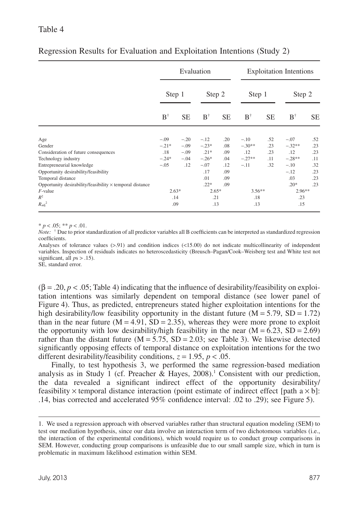|                                                          |                |               | Evaluation        |            |                 |            | <b>Exploitation Intentions</b> |            |
|----------------------------------------------------------|----------------|---------------|-------------------|------------|-----------------|------------|--------------------------------|------------|
|                                                          | Step 1         |               | Step 2            |            | Step 1          |            | Step 2                         |            |
|                                                          | $B^{\dagger}$  | <b>SE</b>     | $B^{\dagger}$     | <b>SE</b>  | $B^{\dagger}$   | <b>SE</b>  | $B^{\dagger}$                  | <b>SE</b>  |
| Age                                                      | $-.09$         | $-.20$        | $-.12$            | .20        | $-.10$          | .52        | $-.07$                         | .52        |
| Gender                                                   | $-.21*$        | $-.09$        | $-.23*$           | .08        | $-.30**$        | .23        | $-.32**$                       | .23        |
| Consideration of future consequences                     | .18<br>$-.24*$ | $-.09$        | $.21*$            | .09        | .12<br>$-.27**$ | .23        | .12                            | .23        |
| Technology industry<br>Entrepreneurial knowledge         | $-.05$         | $-.04$<br>.12 | $-.26*$<br>$-.07$ | .04<br>.12 | $-.11$          | .11<br>.32 | $-.28**$<br>$-.10$             | .11<br>.32 |
| Opportunity desirability/feasibility                     |                |               | .17               | .09        |                 |            | $-.12$                         | .23        |
| Temporal distance                                        |                |               | .01               | .09        |                 |            | .03                            | .23        |
| Opportunity desirability/feasibility × temporal distance |                |               | $.22*$            | .09        |                 |            | $.20*$                         | .23        |
| $F$ -value                                               | $2.63*$        |               | $2.65*$           |            | $3.56**$        |            | 2.96**                         |            |
| $R^2$                                                    | .14            |               | .21               |            | .18             |            | .23                            |            |
| $R_{\rm adj}^2$                                          | .09            |               | .13               |            | .13             |            | .15                            |            |

## Regression Results for Evaluation and Exploitation Intentions (Study 2)

 $* p < .05; ** p < .01.$ 

*Note:* † Due to prior standardization of all predictor variables all B coefficients can be interpreted as standardized regression coefficients.

Analyses of tolerance values (>.91) and condition indices (<15.00) do not indicate multicollinearity of independent variables. Inspection of residuals indicates no heteroscedasticity (Breusch–Pagan/Cook–Weisberg test and White test not significant, all  $ps > .15$ ).

SE, standard error.

 $(B = .20, p < .05$ ; Table 4) indicating that the influence of desirability/feasibility on exploitation intentions was similarly dependent on temporal distance (see lower panel of Figure 4). Thus, as predicted, entrepreneurs stated higher exploitation intentions for the high desirability/low feasibility opportunity in the distant future  $(M = 5.79, SD = 1.72)$ than in the near future  $(M = 4.91, SD = 2.35)$ , whereas they were more prone to exploit the opportunity with low desirability/high feasibility in the near  $(M = 6.23, SD = 2.69)$ rather than the distant future  $(M = 5.75, SD = 2.03$ ; see Table 3). We likewise detected significantly opposing effects of temporal distance on exploitation intentions for the two different desirability/feasibility conditions,  $z = 1.95$ ,  $p < .05$ .

Finally, to test hypothesis 3, we performed the same regression-based mediation analysis as in Study 1 (cf. Preacher  $\&$  Hayes, 2008).<sup>1</sup> Consistent with our prediction, the data revealed a significant indirect effect of the opportunity desirability/ feasibility  $\times$  temporal distance interaction (point estimate of indirect effect [path a  $\times$  b]: .14, bias corrected and accelerated 95% confidence interval: .02 to .29); see Figure 5).

<sup>1.</sup> We used a regression approach with observed variables rather than structural equation modeling (SEM) to test our mediation hypothesis, since our data involve an interaction term of two dichotomous variables (i.e., the interaction of the experimental conditions), which would require us to conduct group comparisons in SEM. However, conducting group comparisons is unfeasible due to our small sample size, which in turn is problematic in maximum likelihood estimation within SEM.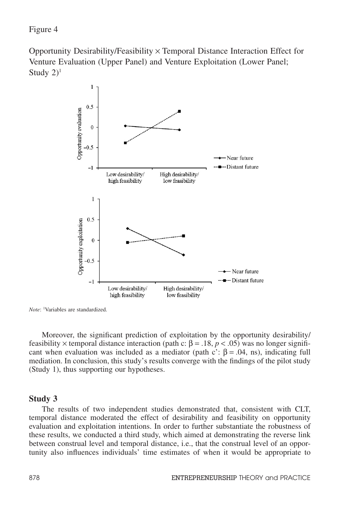Figure 4

Opportunity Desirability/Feasibility  $\times$  Temporal Distance Interaction Effect for Venture Evaluation (Upper Panel) and Venture Exploitation (Lower Panel; Study  $2)^1$ 



*Note*: <sup>1</sup> Variables are standardized.

Moreover, the significant prediction of exploitation by the opportunity desirability/ feasibility  $\times$  temporal distance interaction (path c:  $\beta = .18$ ,  $p < .05$ ) was no longer significant when evaluation was included as a mediator (path c':  $\beta$  = .04, ns), indicating full mediation. In conclusion, this study's results converge with the findings of the pilot study (Study 1), thus supporting our hypotheses.

#### **Study 3**

The results of two independent studies demonstrated that, consistent with CLT, temporal distance moderated the effect of desirability and feasibility on opportunity evaluation and exploitation intentions. In order to further substantiate the robustness of these results, we conducted a third study, which aimed at demonstrating the reverse link between construal level and temporal distance, i.e., that the construal level of an opportunity also influences individuals' time estimates of when it would be appropriate to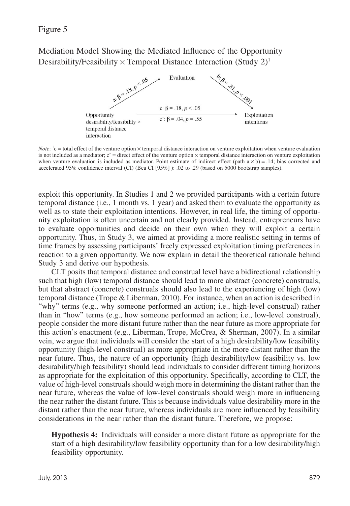Mediation Model Showing the Mediated Influence of the Opportunity Desirability/Feasibility  $\times$  Temporal Distance Interaction (Study 2)<sup>1</sup>



*Note*:  $\frac{1}{c}$  = total effect of the venture option  $\times$  temporal distance interaction on venture exploitation when venture evaluation is not included as a mediator;  $c'$  = direct effect of the venture option  $\times$  temporal distance interaction on venture exploitation when venture evaluation is included as mediator. Point estimate of indirect effect (path  $a \times b$ ) = .14; bias corrected and accelerated 95% confidence interval (CI) (Bca CI [95%] ): .02 to .29 (based on 5000 bootstrap samples).

exploit this opportunity. In Studies 1 and 2 we provided participants with a certain future temporal distance (i.e., 1 month vs. 1 year) and asked them to evaluate the opportunity as well as to state their exploitation intentions. However, in real life, the timing of opportunity exploitation is often uncertain and not clearly provided. Instead, entrepreneurs have to evaluate opportunities and decide on their own when they will exploit a certain opportunity. Thus, in Study 3, we aimed at providing a more realistic setting in terms of time frames by assessing participants' freely expressed exploitation timing preferences in reaction to a given opportunity. We now explain in detail the theoretical rationale behind Study 3 and derive our hypothesis.

CLT posits that temporal distance and construal level have a bidirectional relationship such that high (low) temporal distance should lead to more abstract (concrete) construals, but that abstract (concrete) construals should also lead to the experiencing of high (low) temporal distance (Trope & Liberman, 2010). For instance, when an action is described in "why" terms (e.g., why someone performed an action; i.e., high-level construal) rather than in "how" terms (e.g., how someone performed an action; i.e., low-level construal), people consider the more distant future rather than the near future as more appropriate for this action's enactment (e.g., Liberman, Trope, McCrea, & Sherman, 2007). In a similar vein, we argue that individuals will consider the start of a high desirability/low feasibility opportunity (high-level construal) as more appropriate in the more distant rather than the near future. Thus, the nature of an opportunity (high desirability/low feasibility vs. low desirability/high feasibility) should lead individuals to consider different timing horizons as appropriate for the exploitation of this opportunity. Specifically, according to CLT, the value of high-level construals should weigh more in determining the distant rather than the near future, whereas the value of low-level construals should weigh more in influencing the near rather the distant future. This is because individuals value desirability more in the distant rather than the near future, whereas individuals are more influenced by feasibility considerations in the near rather than the distant future. Therefore, we propose:

**Hypothesis 4:** Individuals will consider a more distant future as appropriate for the start of a high desirability/low feasibility opportunity than for a low desirability/high feasibility opportunity.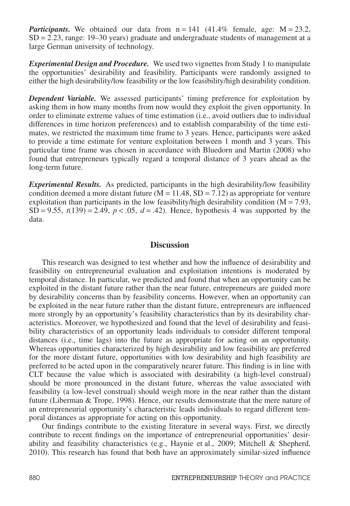*Participants.* We obtained our data from  $n = 141$  (41.4% female, age:  $M = 23.2$ ,  $SD = 2.23$ , range: 19–30 years) graduate and undergraduate students of management at a large German university of technology.

*Experimental Design and Procedure.* We used two vignettes from Study 1 to manipulate the opportunities' desirability and feasibility. Participants were randomly assigned to either the high desirability/low feasibility or the low feasibility/high desirability condition.

*Dependent Variable.* We assessed participants' timing preference for exploitation by asking them in how many months from now would they exploit the given opportunity. In order to eliminate extreme values of time estimation (i.e., avoid outliers due to individual differences in time horizon preferences) and to establish comparability of the time estimates, we restricted the maximum time frame to 3 years. Hence, participants were asked to provide a time estimate for venture exploitation between 1 month and 3 years. This particular time frame was chosen in accordance with Bluedorn and Martin (2008) who found that entrepreneurs typically regard a temporal distance of 3 years ahead as the long-term future.

*Experimental Results.* As predicted, participants in the high desirability/low feasibility condition deemed a more distant future ( $M = 11.48$ ,  $SD = 7.12$ ) as appropriate for venture exploitation than participants in the low feasibility/high desirability condition ( $M = 7.93$ ,  $SD = 9.55$ ,  $t(139) = 2.49$ ,  $p < .05$ ,  $d = .42$ ). Hence, hypothesis 4 was supported by the data.

## **Discussion**

This research was designed to test whether and how the influence of desirability and feasibility on entrepreneurial evaluation and exploitation intentions is moderated by temporal distance. In particular, we predicted and found that when an opportunity can be exploited in the distant future rather than the near future, entrepreneurs are guided more by desirability concerns than by feasibility concerns. However, when an opportunity can be exploited in the near future rather than the distant future, entrepreneurs are influenced more strongly by an opportunity's feasibility characteristics than by its desirability characteristics. Moreover, we hypothesized and found that the level of desirability and feasibility characteristics of an opportunity leads individuals to consider different temporal distances (i.e., time lags) into the future as appropriate for acting on an opportunity. Whereas opportunities characterized by high desirability and low feasibility are preferred for the more distant future, opportunities with low desirability and high feasibility are preferred to be acted upon in the comparatively nearer future. This finding is in line with CLT because the value which is associated with desirability (a high-level construal) should be more pronounced in the distant future, whereas the value associated with feasibility (a low-level construal) should weigh more in the near rather than the distant future (Liberman & Trope, 1998). Hence, our results demonstrate that the mere nature of an entrepreneurial opportunity's characteristic leads individuals to regard different temporal distances as appropriate for acting on this opportunity.

Our findings contribute to the existing literature in several ways. First, we directly contribute to recent findings on the importance of entrepreneurial opportunities' desirability and feasibility characteristics (e.g., Haynie et al., 2009; Mitchell & Shepherd, 2010). This research has found that both have an approximately similar-sized influence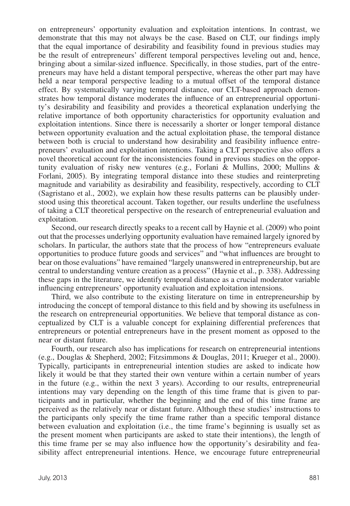on entrepreneurs' opportunity evaluation and exploitation intentions. In contrast, we demonstrate that this may not always be the case. Based on CLT, our findings imply that the equal importance of desirability and feasibility found in previous studies may be the result of entrepreneurs' different temporal perspectives leveling out and, hence, bringing about a similar-sized influence. Specifically, in those studies, part of the entrepreneurs may have held a distant temporal perspective, whereas the other part may have held a near temporal perspective leading to a mutual offset of the temporal distance effect. By systematically varying temporal distance, our CLT-based approach demonstrates how temporal distance moderates the influence of an entrepreneurial opportunity's desirability and feasibility and provides a theoretical explanation underlying the relative importance of both opportunity characteristics for opportunity evaluation and exploitation intentions. Since there is necessarily a shorter or longer temporal distance between opportunity evaluation and the actual exploitation phase, the temporal distance between both is crucial to understand how desirability and feasibility influence entrepreneurs' evaluation and exploitation intentions. Taking a CLT perspective also offers a novel theoretical account for the inconsistencies found in previous studies on the opportunity evaluation of risky new ventures (e.g., Forlani & Mullins, 2000; Mullins & Forlani, 2005). By integrating temporal distance into these studies and reinterpreting magnitude and variability as desirability and feasibility, respectively, according to CLT (Sagristano et al., 2002), we explain how these results patterns can be plausibly understood using this theoretical account. Taken together, our results underline the usefulness of taking a CLT theoretical perspective on the research of entrepreneurial evaluation and exploitation.

Second, our research directly speaks to a recent call by Haynie et al. (2009) who point out that the processes underlying opportunity evaluation have remained largely ignored by scholars. In particular, the authors state that the process of how "entrepreneurs evaluate opportunities to produce future goods and services" and "what influences are brought to bear on those evaluations" have remained "largely unanswered in entrepreneurship, but are central to understanding venture creation as a process" (Haynie et al., p. 338). Addressing these gaps in the literature, we identify temporal distance as a crucial moderator variable influencing entrepreneurs' opportunity evaluation and exploitation intensions.

Third, we also contribute to the existing literature on time in entrepreneurship by introducing the concept of temporal distance to this field and by showing its usefulness in the research on entrepreneurial opportunities. We believe that temporal distance as conceptualized by CLT is a valuable concept for explaining differential preferences that entrepreneurs or potential entrepreneurs have in the present moment as opposed to the near or distant future.

Fourth, our research also has implications for research on entrepreneurial intentions (e.g., Douglas & Shepherd, 2002; Fitzsimmons & Douglas, 2011; Krueger et al., 2000). Typically, participants in entrepreneurial intention studies are asked to indicate how likely it would be that they started their own venture within a certain number of years in the future (e.g., within the next 3 years). According to our results, entrepreneurial intentions may vary depending on the length of this time frame that is given to participants and in particular, whether the beginning and the end of this time frame are perceived as the relatively near or distant future. Although these studies' instructions to the participants only specify the time frame rather than a specific temporal distance between evaluation and exploitation (i.e., the time frame's beginning is usually set as the present moment when participants are asked to state their intentions), the length of this time frame per se may also influence how the opportunity's desirability and feasibility affect entrepreneurial intentions. Hence, we encourage future entrepreneurial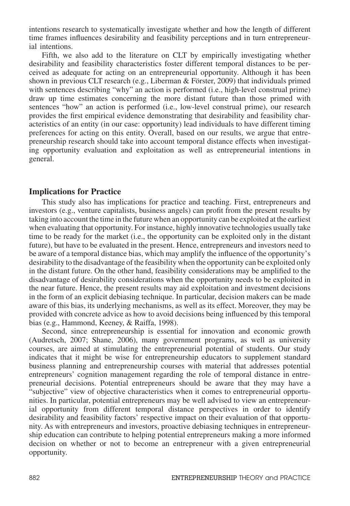intentions research to systematically investigate whether and how the length of different time frames influences desirability and feasibility perceptions and in turn entrepreneurial intentions.

Fifth, we also add to the literature on CLT by empirically investigating whether desirability and feasibility characteristics foster different temporal distances to be perceived as adequate for acting on an entrepreneurial opportunity. Although it has been shown in previous CLT research (e.g., Liberman & Förster, 2009) that individuals primed with sentences describing "why" an action is performed (i.e., high-level construal prime) draw up time estimates concerning the more distant future than those primed with sentences "how" an action is performed (i.e., low-level construal prime), our research provides the first empirical evidence demonstrating that desirability and feasibility characteristics of an entity (in our case: opportunity) lead individuals to have different timing preferences for acting on this entity. Overall, based on our results, we argue that entrepreneurship research should take into account temporal distance effects when investigating opportunity evaluation and exploitation as well as entrepreneurial intentions in general.

#### **Implications for Practice**

This study also has implications for practice and teaching. First, entrepreneurs and investors (e.g., venture capitalists, business angels) can profit from the present results by taking into account the time in the future when an opportunity can be exploited at the earliest when evaluating that opportunity. For instance, highly innovative technologies usually take time to be ready for the market (i.e., the opportunity can be exploited only in the distant future), but have to be evaluated in the present. Hence, entrepreneurs and investors need to be aware of a temporal distance bias, which may amplify the influence of the opportunity's desirability to the disadvantage of the feasibility when the opportunity can be exploited only in the distant future. On the other hand, feasibility considerations may be amplified to the disadvantage of desirability considerations when the opportunity needs to be exploited in the near future. Hence, the present results may aid exploitation and investment decisions in the form of an explicit debiasing technique. In particular, decision makers can be made aware of this bias, its underlying mechanisms, as well as its effect. Moreover, they may be provided with concrete advice as how to avoid decisions being influenced by this temporal bias (e.g., Hammond, Keeney, & Raiffa, 1998).

Second, since entrepreneurship is essential for innovation and economic growth (Audretsch, 2007; Shane, 2006), many government programs, as well as university courses, are aimed at stimulating the entrepreneurial potential of students. Our study indicates that it might be wise for entrepreneurship educators to supplement standard business planning and entrepreneurship courses with material that addresses potential entrepreneurs' cognition management regarding the role of temporal distance in entrepreneurial decisions. Potential entrepreneurs should be aware that they may have a "subjective" view of objective characteristics when it comes to entrepreneurial opportunities. In particular, potential entrepreneurs may be well advised to view an entrepreneurial opportunity from different temporal distance perspectives in order to identify desirability and feasibility factors' respective impact on their evaluation of that opportunity. As with entrepreneurs and investors, proactive debiasing techniques in entrepreneurship education can contribute to helping potential entrepreneurs making a more informed decision on whether or not to become an entrepreneur with a given entrepreneurial opportunity.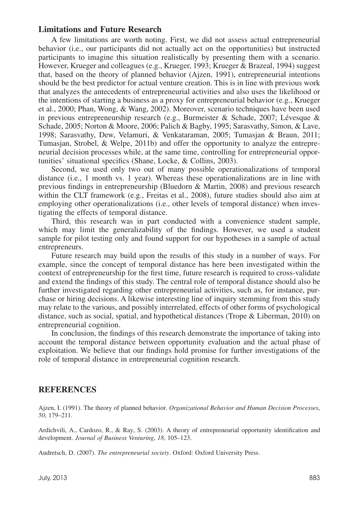## **Limitations and Future Research**

A few limitations are worth noting. First, we did not assess actual entrepreneurial behavior (i.e., our participants did not actually act on the opportunities) but instructed participants to imagine this situation realistically by presenting them with a scenario. However, Krueger and colleagues (e.g., Krueger, 1993; Krueger & Brazeal, 1994) suggest that, based on the theory of planned behavior (Ajzen, 1991), entrepreneurial intentions should be the best predictor for actual venture creation. This is in line with previous work that analyzes the antecedents of entrepreneurial activities and also uses the likelihood or the intentions of starting a business as a proxy for entrepreneurial behavior (e.g., Krueger et al., 2000; Phan, Wong, & Wang, 2002). Moreover, scenario techniques have been used in previous entrepreneurship research (e.g., Burmeister & Schade, 2007; Lévesque & Schade, 2005; Norton & Moore, 2006; Palich & Bagby, 1995; Sarasvathy, Simon, & Lave, 1998; Sarasvathy, Dew, Velamuri, & Venkataraman, 2005; Tumasjan & Braun, 2011; Tumasjan, Strobel, & Welpe, 2011b) and offer the opportunity to analyze the entrepreneurial decision processes while, at the same time, controlling for entrepreneurial opportunities' situational specifics (Shane, Locke, & Collins, 2003).

Second, we used only two out of many possible operationalizations of temporal distance (i.e., 1 month vs. 1 year). Whereas these operationalizations are in line with previous findings in entrepreneurship (Bluedorn & Martin, 2008) and previous research within the CLT framework (e.g., Freitas et al., 2008), future studies should also aim at employing other operationalizations (i.e., other levels of temporal distance) when investigating the effects of temporal distance.

Third, this research was in part conducted with a convenience student sample, which may limit the generalizability of the findings. However, we used a student sample for pilot testing only and found support for our hypotheses in a sample of actual entrepreneurs.

Future research may build upon the results of this study in a number of ways. For example, since the concept of temporal distance has here been investigated within the context of entrepreneurship for the first time, future research is required to cross-validate and extend the findings of this study. The central role of temporal distance should also be further investigated regarding other entrepreneurial activities, such as, for instance, purchase or hiring decisions. A likewise interesting line of inquiry stemming from this study may relate to the various, and possibly interrelated, effects of other forms of psychological distance, such as social, spatial, and hypothetical distances (Trope & Liberman, 2010) on entrepreneurial cognition.

In conclusion, the findings of this research demonstrate the importance of taking into account the temporal distance between opportunity evaluation and the actual phase of exploitation. We believe that our findings hold promise for further investigations of the role of temporal distance in entrepreneurial cognition research.

#### **REFERENCES**

Ajzen, I. (1991). The theory of planned behavior. *Organizational Behavior and Human Decision Processes*, *50*, 179–211.

Ardichvili, A., Cardozo, R., & Ray, S. (2003). A theory of entrepreneurial opportunity identification and development. *Journal of Business Venturing*, *18*, 105–123.

Audretsch, D. (2007). *The entrepreneurial society*. Oxford: Oxford University Press.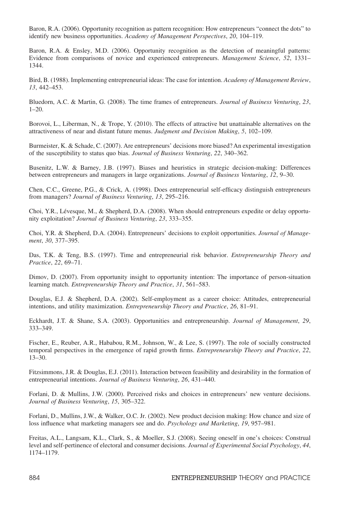Baron, R.A. (2006). Opportunity recognition as pattern recognition: How entrepreneurs "connect the dots" to identify new business opportunities. *Academy of Management Perspectives*, *20*, 104–119.

Baron, R.A. & Ensley, M.D. (2006). Opportunity recognition as the detection of meaningful patterns: Evidence from comparisons of novice and experienced entrepreneurs. *Management Science*, *52*, 1331– 1344.

Bird, B. (1988). Implementing entrepreneurial ideas: The case for intention. *Academy of Management Review*, *13*, 442–453.

Bluedorn, A.C. & Martin, G. (2008). The time frames of entrepreneurs. *Journal of Business Venturing*, *23*, 1–20.

Borovoi, L., Liberman, N., & Trope, Y. (2010). The effects of attractive but unattainable alternatives on the attractiveness of near and distant future menus. *Judgment and Decision Making*, *5*, 102–109.

Burmeister, K. & Schade, C. (2007). Are entrepreneurs' decisions more biased? An experimental investigation of the susceptibility to status quo bias. *Journal of Business Venturing*, *22*, 340–362.

Busenitz, L.W. & Barney, J.B. (1997). Biases and heuristics in strategic decision-making: Differences between entrepreneurs and managers in large organizations. *Journal of Business Venturing*, *12*, 9–30.

Chen, C.C., Greene, P.G., & Crick, A. (1998). Does entrepreneurial self-efficacy distinguish entrepreneurs from managers? *Journal of Business Venturing*, *13*, 295–216.

Choi, Y.R., Lévesque, M., & Shepherd, D.A. (2008). When should entrepreneurs expedite or delay opportunity exploitation? *Journal of Business Venturing*, *23*, 333–355.

Choi, Y.R. & Shepherd, D.A. (2004). Entrepreneurs' decisions to exploit opportunities. *Journal of Management*, *30*, 377–395.

Das, T.K. & Teng, B.S. (1997). Time and entrepreneurial risk behavior. *Entrepreneurship Theory and Practice*, *22*, 69–71.

Dimov, D. (2007). From opportunity insight to opportunity intention: The importance of person-situation learning match. *Entrepreneurship Theory and Practice*, *31*, 561–583.

Douglas, E.J. & Shepherd, D.A. (2002). Self-employment as a career choice: Attitudes, entrepreneurial intentions, and utility maximization. *Entrepreneurship Theory and Practice*, *26*, 81–91.

Eckhardt, J.T. & Shane, S.A. (2003). Opportunities and entrepreneurship. *Journal of Management*, *29*, 333–349.

Fischer, E., Reuber, A.R., Hababou, R.M., Johnson, W., & Lee, S. (1997). The role of socially constructed temporal perspectives in the emergence of rapid growth firms. *Entrepreneurship Theory and Practice*, *22*, 13–30.

Fitzsimmons, J.R. & Douglas, E.J. (2011). Interaction between feasibility and desirability in the formation of entrepreneurial intentions. *Journal of Business Venturing*, *26*, 431–440.

Forlani, D. & Mullins, J.W. (2000). Perceived risks and choices in entrepreneurs' new venture decisions. *Journal of Business Venturing*, *15*, 305–322.

Forlani, D., Mullins, J.W., & Walker, O.C. Jr. (2002). New product decision making: How chance and size of loss influence what marketing managers see and do. *Psychology and Marketing*, *19*, 957–981.

Freitas, A.L., Langsam, K.L., Clark, S., & Moeller, S.J. (2008). Seeing oneself in one's choices: Construal level and self-pertinence of electoral and consumer decisions. *Journal of Experimental Social Psychology*, *44*, 1174–1179.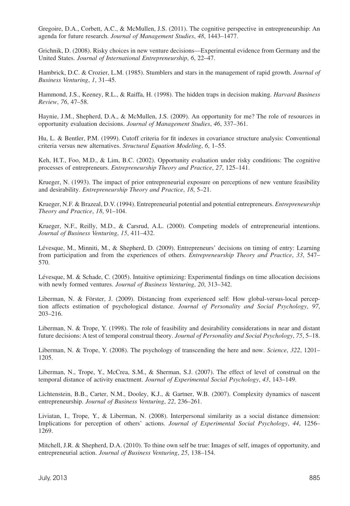Gregoire, D.A., Corbett, A.C., & McMullen, J.S. (2011). The cognitive perspective in entrepreneurship: An agenda for future research. *Journal of Management Studies*, *48*, 1443–1477.

Grichnik, D. (2008). Risky choices in new venture decisions—Experimental evidence from Germany and the United States. *Journal of International Entrepreneurship*, *6*, 22–47.

Hambrick, D.C. & Crozier, L.M. (1985). Stumblers and stars in the management of rapid growth. *Journal of Business Venturing*, *1*, 31–45.

Hammond, J.S., Keeney, R.L., & Raiffa, H. (1998). The hidden traps in decision making. *Harvard Business Review*, *76*, 47–58.

Haynie, J.M., Shepherd, D.A., & McMullen, J.S. (2009). An opportunity for me? The role of resources in opportunity evaluation decisions. *Journal of Management Studies*, *46*, 337–361.

Hu, L. & Bentler, P.M. (1999). Cutoff criteria for fit indexes in covariance structure analysis: Conventional criteria versus new alternatives. *Structural Equation Modeling*, *6*, 1–55.

Keh, H.T., Foo, M.D., & Lim, B.C. (2002). Opportunity evaluation under risky conditions: The cognitive processes of entrepreneurs. *Entrepreneurship Theory and Practice*, *27*, 125–141.

Krueger, N. (1993). The impact of prior entrepreneurial exposure on perceptions of new venture feasibility and desirability. *Entrepreneurship Theory and Practice*, *18*, 5–21.

Krueger, N.F. & Brazeal, D.V. (1994). Entrepreneurial potential and potential entrepreneurs. *Entrepreneurship Theory and Practice*, *18*, 91–104.

Krueger, N.F., Reilly, M.D., & Carsrud, A.L. (2000). Competing models of entrepreneurial intentions. *Journal of Business Venturing*, *15*, 411–432.

Lévesque, M., Minniti, M., & Shepherd, D. (2009). Entrepreneurs' decisions on timing of entry: Learning from participation and from the experiences of others. *Entrepreneurship Theory and Practice*, *33*, 547– 570.

Lévesque, M. & Schade, C. (2005). Intuitive optimizing: Experimental findings on time allocation decisions with newly formed ventures. *Journal of Business Venturing*, *20*, 313–342.

Liberman, N. & Förster, J. (2009). Distancing from experienced self: How global-versus-local perception affects estimation of psychological distance. *Journal of Personality and Social Psychology*, *97*, 203–216.

Liberman, N. & Trope, Y. (1998). The role of feasibility and desirability considerations in near and distant future decisions: A test of temporal construal theory. *Journal of Personality and Social Psychology*, *75*, 5–18.

Liberman, N. & Trope, Y. (2008). The psychology of transcending the here and now. *Science*, *322*, 1201– 1205.

Liberman, N., Trope, Y., McCrea, S.M., & Sherman, S.J. (2007). The effect of level of construal on the temporal distance of activity enactment. *Journal of Experimental Social Psychology*, *43*, 143–149.

Lichtenstein, B.B., Carter, N.M., Dooley, K.J., & Gartner, W.B. (2007). Complexity dynamics of nascent entrepreneurship. *Journal of Business Venturing*, *22*, 236–261.

Liviatan, I., Trope, Y., & Liberman, N. (2008). Interpersonal similarity as a social distance dimension: Implications for perception of others' actions. *Journal of Experimental Social Psychology*, *44*, 1256– 1269.

Mitchell, J.R. & Shepherd, D.A. (2010). To thine own self be true: Images of self, images of opportunity, and entrepreneurial action. *Journal of Business Venturing*, *25*, 138–154.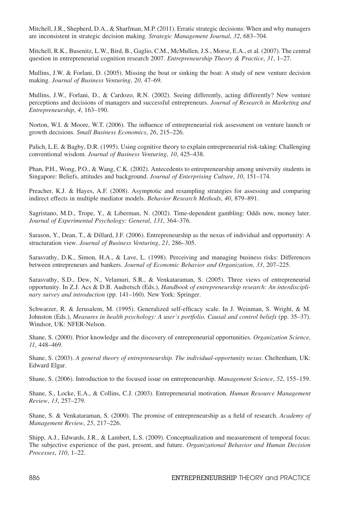Mitchell, J.R., Shepherd, D.A., & Sharfman, M.P. (2011). Erratic strategic decisions: When and why managers are inconsistent in strategic decision making. *Strategic Management Journal*, *32*, 683–704.

Mitchell, R.K., Busenitz, L.W., Bird, B., Gaglio, C.M., McMullen, J.S., Morse, E.A., et al. (2007). The central question in entrepreneurial cognition research 2007. *Entrepreneurship Theory & Practice*, *31*, 1–27.

Mullins, J.W. & Forlani, D. (2005). Missing the boat or sinking the boat: A study of new venture decision making. *Journal of Business Venturing*, *20*, 47–69.

Mullins, J.W., Forlani, D., & Cardozo, R.N. (2002). Seeing differently, acting differently? New venture perceptions and decisions of managers and successful entrepreneurs. *Journal of Research in Marketing and Entrepreneurship*, *4*, 163–190.

Norton, W.I. & Moore, W.T. (2006). The influence of entrepreneurial risk assessment on venture launch or growth decisions. *Small Business Economics*, *26*, 215–226.

Palich, L.E. & Bagby, D.R. (1995). Using cognitive theory to explain entrepreneurial risk-taking: Challenging conventional wisdom. *Journal of Business Venturing*, *10*, 425–438.

Phan, P.H., Wong, P.O., & Wang, C.K. (2002). Antecedents to entrepreneurship among university students in Singapore: Beliefs, attitudes and background. *Journal of Enterprising Culture*, *10*, 151–174.

Preacher, K.J. & Hayes, A.F. (2008). Asymptotic and resampling strategies for assessing and comparing indirect effects in multiple mediator models. *Behavior Research Methods*, *40*, 879–891.

Sagristano, M.D., Trope, Y., & Liberman, N. (2002). Time-dependent gambling: Odds now, money later. *Journal of Experimental Psychology: General*, *131*, 364–376.

Sarason, Y., Dean, T., & Dillard, J.F. (2006). Entrepreneurship as the nexus of individual and opportunity: A structuration view. *Journal of Business Venturing*, *21*, 286–305.

Sarasvathy, D.K., Simon, H.A., & Lave, L. (1998). Perceiving and managing business risks: Differences between entrepreneurs and bankers. *Journal of Economic Behavior and Organization*, *33*, 207–225.

Sarasvathy, S.D., Dew, N., Velamuri, S.R., & Venkataraman, S. (2005). Three views of entrepreneurial opportunity. In Z.J. Acs & D.B. Audretsch (Eds.), *Handbook of entrepreneurship research: An interdisciplinary survey and introduction* (pp. 141–160). New York: Springer.

Schwarzer, R. & Jerusalem, M. (1995). Generalized self-efficacy scale. In J. Weinman, S. Wright, & M. Johnston (Eds.), *Measures in health psychology: A user's portfolio. Causal and control beliefs* (pp. 35–37). Windsor, UK: NFER-Nelson.

Shane, S. (2000). Prior knowledge and the discovery of entrepreneurial opportunities. *Organization Science*, *11*, 448–469.

Shane, S. (2003). *A general theory of entrepreneurship. The individual-opportunity nexus*. Cheltenham, UK: Edward Elgar.

Shane, S. (2006). Introduction to the focused issue on entrepreneurship. *Management Science*, *52*, 155–159.

Shane, S., Locke, E.A., & Collins, C.J. (2003). Entrepreneurial motivation. *Human Resource Management Review*, *13*, 257–279.

Shane, S. & Venkataraman, S. (2000). The promise of entrepreneurship as a field of research. *Academy of Management Review*, *25*, 217–226.

Shipp, A.J., Edwards, J.R., & Lambert, L.S. (2009). Conceptualization and measurement of temporal focus: The subjective experience of the past, present, and future. *Organizational Behavior and Human Decision Processes*, *110*, 1–22.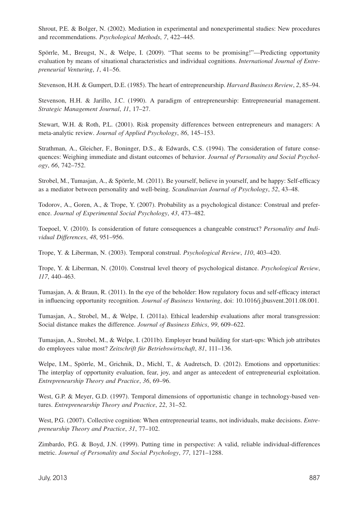Shrout, P.E. & Bolger, N. (2002). Mediation in experimental and nonexperimental studies: New procedures and recommendations. *Psychological Methods*, *7*, 422–445.

Spörrle, M., Breugst, N., & Welpe, I. (2009). "That seems to be promising!"—Predicting opportunity evaluation by means of situational characteristics and individual cognitions. *International Journal of Entrepreneurial Venturing*, *1*, 41–56.

Stevenson, H.H. & Gumpert, D.E. (1985). The heart of entrepreneurship. *Harvard Business Review*, *2*, 85–94.

Stevenson, H.H. & Jarillo, J.C. (1990). A paradigm of entrepreneurship: Entrepreneurial management. *Strategic Management Journal*, *11*, 17–27.

Stewart, W.H. & Roth, P.L. (2001). Risk propensity differences between entrepreneurs and managers: A meta-analytic review. *Journal of Applied Psychology*, *86*, 145–153.

Strathman, A., Gleicher, F., Boninger, D.S., & Edwards, C.S. (1994). The consideration of future consequences: Weighing immediate and distant outcomes of behavior. *Journal of Personality and Social Psychology*, *66*, 742–752.

Strobel, M., Tumasjan, A., & Spörrle, M. (2011). Be yourself, believe in yourself, and be happy: Self-efficacy as a mediator between personality and well-being. *Scandinavian Journal of Psychology*, *52*, 43–48.

Todorov, A., Goren, A., & Trope, Y. (2007). Probability as a psychological distance: Construal and preference. *Journal of Experimental Social Psychology*, *43*, 473–482.

Toepoel, V. (2010). Is consideration of future consequences a changeable construct? *Personality and Individual Differences*, *48*, 951–956.

Trope, Y. & Liberman, N. (2003). Temporal construal. *Psychological Review*, *110*, 403–420.

Trope, Y. & Liberman, N. (2010). Construal level theory of psychological distance. *Psychological Review*, *117*, 440–463.

Tumasjan, A. & Braun, R. (2011). In the eye of the beholder: How regulatory focus and self-efficacy interact in influencing opportunity recognition. *Journal of Business Venturing*, doi: 10.1016/j.jbusvent.2011.08.001.

Tumasjan, A., Strobel, M., & Welpe, I. (2011a). Ethical leadership evaluations after moral transgression: Social distance makes the difference. *Journal of Business Ethics*, *99*, 609–622.

Tumasjan, A., Strobel, M., & Welpe, I. (2011b). Employer brand building for start-ups: Which job attributes do employees value most? *Zeitschrift für Betriebswirtschaft*, *81*, 111–136.

Welpe, I.M., Spörrle, M., Grichnik, D., Michl, T., & Audretsch, D. (2012). Emotions and opportunities: The interplay of opportunity evaluation, fear, joy, and anger as antecedent of entrepreneurial exploitation. *Entrepreneurship Theory and Practice*, *36*, 69–96.

West, G.P. & Meyer, G.D. (1997). Temporal dimensions of opportunistic change in technology-based ventures. *Entrepreneurship Theory and Practice*, *22*, 31–52.

West, P.G. (2007). Collective cognition: When entrepreneurial teams, not individuals, make decisions. *Entrepreneurship Theory and Practice*, *31*, 77–102.

Zimbardo, P.G. & Boyd, J.N. (1999). Putting time in perspective: A valid, reliable individual-differences metric. *Journal of Personality and Social Psychology*, *77*, 1271–1288.